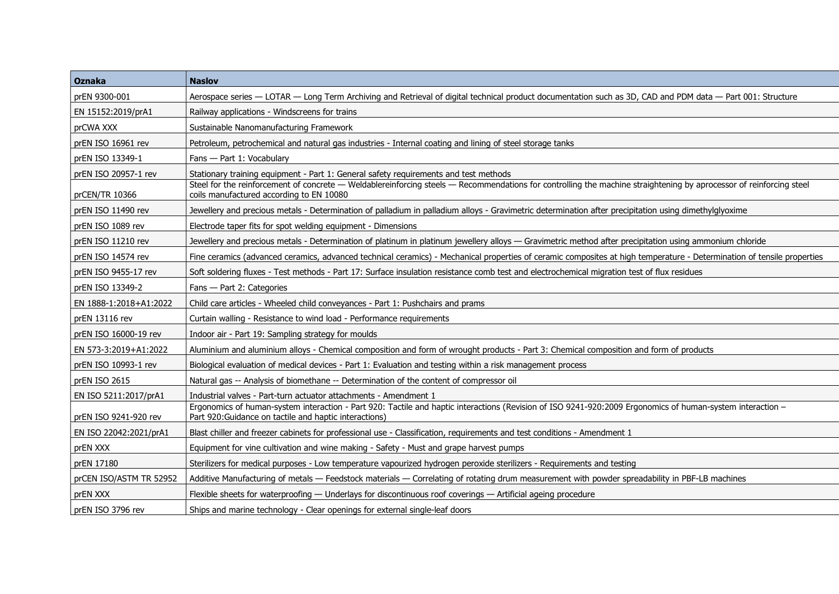| <b>Oznaka</b>           | <b>Naslov</b>                                                                                                                                                                                                        |
|-------------------------|----------------------------------------------------------------------------------------------------------------------------------------------------------------------------------------------------------------------|
| prEN 9300-001           | Aerospace series - LOTAR - Long Term Archiving and Retrieval of digital technical product documentation such as 3D, CAD and PDM data - Part 001: Structure                                                           |
| EN 15152:2019/prA1      | Railway applications - Windscreens for trains                                                                                                                                                                        |
| prCWA XXX               | Sustainable Nanomanufacturing Framework                                                                                                                                                                              |
| prEN ISO 16961 rev      | Petroleum, petrochemical and natural gas industries - Internal coating and lining of steel storage tanks                                                                                                             |
| prEN ISO 13349-1        | Fans - Part 1: Vocabulary                                                                                                                                                                                            |
| prEN ISO 20957-1 rev    | Stationary training equipment - Part 1: General safety requirements and test methods                                                                                                                                 |
| prCEN/TR 10366          | Steel for the reinforcement of concrete - Weldablereinforcing steels - Recommendations for controlling the machine straightening by aprocessor of reinforcing steel<br>coils manufactured according to EN 10080      |
| prEN ISO 11490 rev      | Jewellery and precious metals - Determination of palladium in palladium alloys - Gravimetric determination after precipitation using dimethylglyoxime                                                                |
| prEN ISO 1089 rev       | Electrode taper fits for spot welding equipment - Dimensions                                                                                                                                                         |
| prEN ISO 11210 rev      | Jewellery and precious metals - Determination of platinum in platinum jewellery alloys - Gravimetric method after precipitation using ammonium chloride                                                              |
| prEN ISO 14574 rev      | Fine ceramics (advanced ceramics, advanced technical ceramics) - Mechanical properties of ceramic composites at high temperature - Determination of tensile properties                                               |
| prEN ISO 9455-17 rev    | Soft soldering fluxes - Test methods - Part 17: Surface insulation resistance comb test and electrochemical migration test of flux residues                                                                          |
| prEN ISO 13349-2        | Fans - Part 2: Categories                                                                                                                                                                                            |
| EN 1888-1:2018+A1:2022  | Child care articles - Wheeled child conveyances - Part 1: Pushchairs and prams                                                                                                                                       |
| prEN 13116 rev          | Curtain walling - Resistance to wind load - Performance requirements                                                                                                                                                 |
| prEN ISO 16000-19 rev   | Indoor air - Part 19: Sampling strategy for moulds                                                                                                                                                                   |
| EN 573-3:2019+A1:2022   | Aluminium and aluminium alloys - Chemical composition and form of wrought products - Part 3: Chemical composition and form of products                                                                               |
| prEN ISO 10993-1 rev    | Biological evaluation of medical devices - Part 1: Evaluation and testing within a risk management process                                                                                                           |
| prEN ISO 2615           | Natural gas -- Analysis of biomethane -- Determination of the content of compressor oil                                                                                                                              |
| EN ISO 5211:2017/prA1   | Industrial valves - Part-turn actuator attachments - Amendment 1                                                                                                                                                     |
| prEN ISO 9241-920 rev   | Ergonomics of human-system interaction - Part 920: Tactile and haptic interactions (Revision of ISO 9241-920:2009 Ergonomics of human-system interaction -<br>Part 920: Guidance on tactile and haptic interactions) |
| EN ISO 22042:2021/prA1  | Blast chiller and freezer cabinets for professional use - Classification, requirements and test conditions - Amendment 1                                                                                             |
| prEN XXX                | Equipment for vine cultivation and wine making - Safety - Must and grape harvest pumps                                                                                                                               |
| prEN 17180              | Sterilizers for medical purposes - Low temperature vapourized hydrogen peroxide sterilizers - Requirements and testing                                                                                               |
| prCEN ISO/ASTM TR 52952 | Additive Manufacturing of metals - Feedstock materials - Correlating of rotating drum measurement with powder spreadability in PBF-LB machines                                                                       |
| prEN XXX                | Flexible sheets for waterproofing — Underlays for discontinuous roof coverings — Artificial ageing procedure                                                                                                         |
| prEN ISO 3796 rev       | Ships and marine technology - Clear openings for external single-leaf doors                                                                                                                                          |